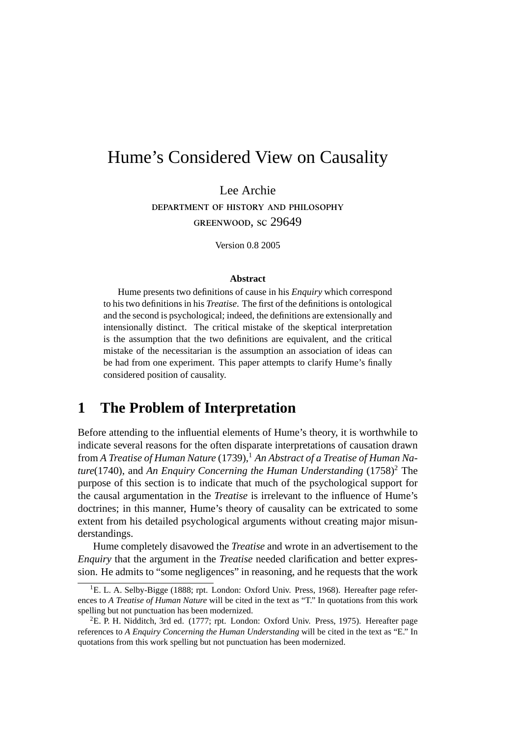# Hume's Considered View on Causality

Lee Archie DEPARTMENT OF HISTORY AND PHILOSOPHY GREENWOOD, SC 29649

Version 0.8 2005

#### **Abstract**

Hume presents two definitions of cause in his *Enquiry* which correspond to his two definitions in his *Treatise*. The first of the definitions is ontological and the second is psychological; indeed, the definitions are extensionally and intensionally distinct. The critical mistake of the skeptical interpretation is the assumption that the two definitions are equivalent, and the critical mistake of the necessitarian is the assumption an association of ideas can be had from one experiment. This paper attempts to clarify Hume's finally considered position of causality.

# **1 The Problem of Interpretation**

Before attending to the influential elements of Hume's theory, it is worthwhile to indicate several reasons for the often disparate interpretations of causation drawn from *A Treatise of Human Nature* (1739),<sup>1</sup> *An Abstract of a Treatise of Human Nature*(1740), and *An Enquiry Concerning the Human Understanding* (1758)<sup>2</sup> The purpose of this section is to indicate that much of the psychological support for the causal argumentation in the *Treatise* is irrelevant to the influence of Hume's doctrines; in this manner, Hume's theory of causality can be extricated to some extent from his detailed psychological arguments without creating major misunderstandings.

Hume completely disavowed the *Treatise* and wrote in an advertisement to the *Enquiry* that the argument in the *Treatise* needed clarification and better expression. He admits to "some negligences" in reasoning, and he requests that the work

<sup>&</sup>lt;sup>1</sup>E. L. A. Selby-Bigge (1888; rpt. London: Oxford Univ. Press, 1968). Hereafter page references to *A Treatise of Human Nature* will be cited in the text as "T." In quotations from this work spelling but not punctuation has been modernized.

<sup>&</sup>lt;sup>2</sup>E. P. H. Nidditch, 3rd ed. (1777; rpt. London: Oxford Univ. Press, 1975). Hereafter page references to *A Enquiry Concerning the Human Understanding* will be cited in the text as "E." In quotations from this work spelling but not punctuation has been modernized.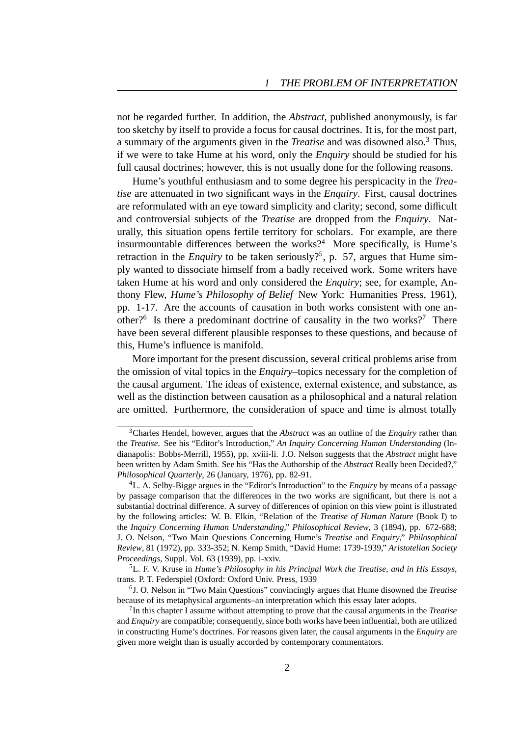not be regarded further. In addition, the *Abstract*, published anonymously, is far too sketchy by itself to provide a focus for causal doctrines. It is, for the most part, a summary of the arguments given in the *Treatise* and was disowned also.<sup>3</sup> Thus, if we were to take Hume at his word, only the *Enquiry* should be studied for his full causal doctrines; however, this is not usually done for the following reasons.

Hume's youthful enthusiasm and to some degree his perspicacity in the *Treatise* are attenuated in two significant ways in the *Enquiry*. First, causal doctrines are reformulated with an eye toward simplicity and clarity; second, some difficult and controversial subjects of the *Treatise* are dropped from the *Enquiry*. Naturally, this situation opens fertile territory for scholars. For example, are there insurmountable differences between the works? $4$  More specifically, is Hume's retraction in the *Enquiry* to be taken seriously?<sup>5</sup>, p. 57, argues that Hume simply wanted to dissociate himself from a badly received work. Some writers have taken Hume at his word and only considered the *Enquiry*; see, for example, Anthony Flew, *Hume's Philosophy of Belief* New York: Humanities Press, 1961), pp. 1-17. Are the accounts of causation in both works consistent with one another?<sup>6</sup> Is there a predominant doctrine of causality in the two works?<sup>7</sup> There have been several different plausible responses to these questions, and because of this, Hume's influence is manifold.

More important for the present discussion, several critical problems arise from the omission of vital topics in the *Enquiry*–topics necessary for the completion of the causal argument. The ideas of existence, external existence, and substance, as well as the distinction between causation as a philosophical and a natural relation are omitted. Furthermore, the consideration of space and time is almost totally

<sup>3</sup>Charles Hendel, however, argues that the *Abstract* was an outline of the *Enquiry* rather than the *Treatise*. See his "Editor's Introduction," *An Inquiry Concerning Human Understanding* (Indianapolis: Bobbs-Merrill, 1955), pp. xviii-li. J.O. Nelson suggests that the *Abstract* might have been written by Adam Smith. See his "Has the Authorship of the *Abstract* Really been Decided?," *Philosophical Quarterly*, 26 (January, 1976), pp. 82-91.

<sup>4</sup>L. A. Selby-Bigge argues in the "Editor's Introduction" to the *Enquiry* by means of a passage by passage comparison that the differences in the two works are significant, but there is not a substantial doctrinal difference. A survey of differences of opinion on this view point is illustrated by the following articles: W. B. Elkin, "Relation of the *Treatise of Human Nature* (Book I) to the *Inquiry Concerning Human Understanding*," *Philosophical Review*, 3 (1894), pp. 672-688; J. O. Nelson, "Two Main Questions Concerning Hume's *Treatise* and *Enquiry*," *Philosophical Review*, 81 (1972), pp. 333-352; N. Kemp Smith, "David Hume: 1739-1939," *Aristotelian Society Proceedings*, Suppl. Vol. 63 (1939), pp. i-xxiv.

<sup>5</sup>L. F. V. Kruse in *Hume's Philosophy in his Principal Work the Treatise, and in His Essays*, trans. P. T. Federspiel (Oxford: Oxford Univ. Press, 1939

<sup>6</sup> J. O. Nelson in "Two Main Questions" convincingly argues that Hume disowned the *Treatise* because of its metaphysical arguments–an interpretation which this essay later adopts.

<sup>7</sup> In this chapter I assume without attempting to prove that the causal arguments in the *Treatise* and *Enquiry* are compatible; consequently, since both works have been influential, both are utilized in constructing Hume's doctrines. For reasons given later, the causal arguments in the *Enquiry* are given more weight than is usually accorded by contemporary commentators.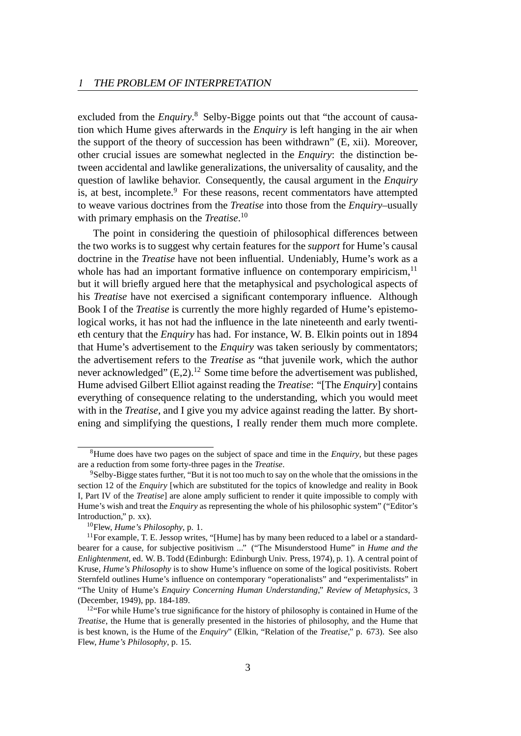excluded from the *Enquiry*. <sup>8</sup> Selby-Bigge points out that "the account of causation which Hume gives afterwards in the *Enquiry* is left hanging in the air when the support of the theory of succession has been withdrawn" (E, xii). Moreover, other crucial issues are somewhat neglected in the *Enquiry*: the distinction between accidental and lawlike generalizations, the universality of causality, and the question of lawlike behavior. Consequently, the causal argument in the *Enquiry* is, at best, incomplete.<sup>9</sup> For these reasons, recent commentators have attempted to weave various doctrines from the *Treatise* into those from the *Enquiry*–usually with primary emphasis on the *Treatise*. 10

The point in considering the questioin of philosophical differences between the two works is to suggest why certain features for the *support* for Hume's causal doctrine in the *Treatise* have not been influential. Undeniably, Hume's work as a whole has had an important formative influence on contemporary empiricism, $<sup>11</sup>$ </sup> but it will briefly argued here that the metaphysical and psychological aspects of his *Treatise* have not exercised a significant contemporary influence. Although Book I of the *Treatise* is currently the more highly regarded of Hume's epistemological works, it has not had the influence in the late nineteenth and early twentieth century that the *Enquiry* has had. For instance, W. B. Elkin points out in 1894 that Hume's advertisement to the *Enquiry* was taken seriously by commentators; the advertisement refers to the *Treatise* as "that juvenile work, which the author never acknowledged"  $(E,2)$ .<sup>12</sup> Some time before the advertisement was published, Hume advised Gilbert Elliot against reading the *Treatise*: "[The *Enquiry*] contains everything of consequence relating to the understanding, which you would meet with in the *Treatise*, and I give you my advice against reading the latter. By shortening and simplifying the questions, I really render them much more complete.

<sup>8</sup>Hume does have two pages on the subject of space and time in the *Enquiry*, but these pages are a reduction from some forty-three pages in the *Treatise*.

<sup>9</sup>Selby-Bigge states further, "But it is not too much to say on the whole that the omissions in the section 12 of the *Enquiry* [which are substituted for the topics of knowledge and reality in Book I, Part IV of the *Treatise*] are alone amply sufficient to render it quite impossible to comply with Hume's wish and treat the *Enquiry* as representing the whole of his philosophic system" ("Editor's Introduction," p. xx).

<sup>10</sup>Flew, *Hume's Philosophy*, p. 1.

 $11$  For example, T. E. Jessop writes, "[Hume] has by many been reduced to a label or a standardbearer for a cause, for subjective positivism ..." ("The Misunderstood Hume" in *Hume and the Enlightenment*, ed. W. B. Todd (Edinburgh: Edinburgh Univ. Press, 1974), p. 1). A central point of Kruse, *Hume's Philosophy* is to show Hume's influence on some of the logical positivists. Robert Sternfeld outlines Hume's influence on contemporary "operationalists" and "experimentalists" in "The Unity of Hume's *Enquiry Concerning Human Understanding*," *Review of Metaphysics*, 3 (December, 1949), pp. 184-189.

 $12$ "For while Hume's true significance for the history of philosophy is contained in Hume of the *Treatise*, the Hume that is generally presented in the histories of philosophy, and the Hume that is best known, is the Hume of the *Enquiry*" (Elkin, "Relation of the *Treatise*," p. 673). See also Flew, *Hume's Philosophy*, p. 15.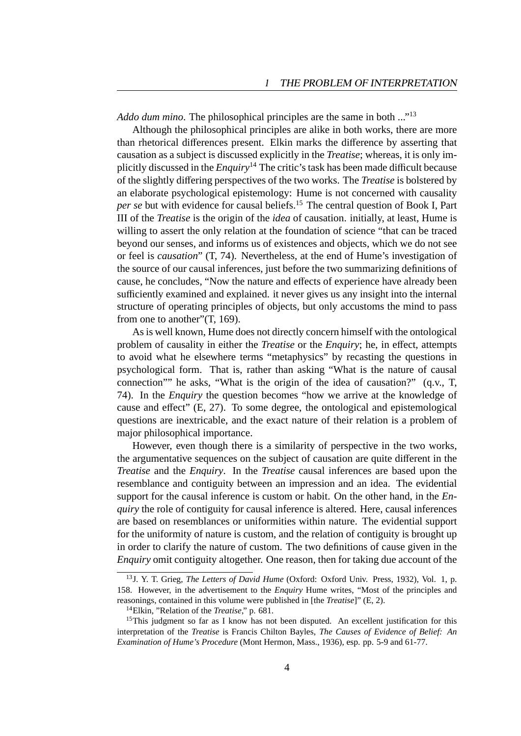*Addo dum mino*. The philosophical principles are the same in both ..."<sup>13</sup>

Although the philosophical principles are alike in both works, there are more than rhetorical differences present. Elkin marks the difference by asserting that causation as a subject is discussed explicitly in the *Treatise*; whereas, it is only implicitly discussed in the *Enquiry*<sup>14</sup> The critic's task has been made difficult because of the slightly differing perspectives of the two works. The *Treatise* is bolstered by an elaborate psychological epistemology: Hume is not concerned with causality *per se* but with evidence for causal beliefs.<sup>15</sup> The central question of Book I, Part III of the *Treatise* is the origin of the *idea* of causation. initially, at least, Hume is willing to assert the only relation at the foundation of science "that can be traced beyond our senses, and informs us of existences and objects, which we do not see or feel is *causation*" (T, 74). Nevertheless, at the end of Hume's investigation of the source of our causal inferences, just before the two summarizing definitions of cause, he concludes, "Now the nature and effects of experience have already been sufficiently examined and explained. it never gives us any insight into the internal structure of operating principles of objects, but only accustoms the mind to pass from one to another"(T, 169).

As is well known, Hume does not directly concern himself with the ontological problem of causality in either the *Treatise* or the *Enquiry*; he, in effect, attempts to avoid what he elsewhere terms "metaphysics" by recasting the questions in psychological form. That is, rather than asking "What is the nature of causal connection"" he asks, "What is the origin of the idea of causation?" (q.v., T, 74). In the *Enquiry* the question becomes "how we arrive at the knowledge of cause and effect" (E, 27). To some degree, the ontological and epistemological questions are inextricable, and the exact nature of their relation is a problem of major philosophical importance.

However, even though there is a similarity of perspective in the two works, the argumentative sequences on the subject of causation are quite different in the *Treatise* and the *Enquiry*. In the *Treatise* causal inferences are based upon the resemblance and contiguity between an impression and an idea. The evidential support for the causal inference is custom or habit. On the other hand, in the *Enquiry* the role of contiguity for causal inference is altered. Here, causal inferences are based on resemblances or uniformities within nature. The evidential support for the uniformity of nature is custom, and the relation of contiguity is brought up in order to clarify the nature of custom. The two definitions of cause given in the *Enquiry* omit contiguity altogether. One reason, then for taking due account of the

<sup>13</sup>J. Y. T. Grieg, *The Letters of David Hume* (Oxford: Oxford Univ. Press, 1932), Vol. 1, p. 158. However, in the advertisement to the *Enquiry* Hume writes, "Most of the principles and reasonings, contained in this volume were published in [the *Treatise*]" (E, 2).

<sup>14</sup>Elkin, "Relation of the *Treatise*," p. 681.

<sup>&</sup>lt;sup>15</sup>This judgment so far as I know has not been disputed. An excellent justification for this interpretation of the *Treatise* is Francis Chilton Bayles, *The Causes of Evidence of Belief: An Examination of Hume's Procedure* (Mont Hermon, Mass., 1936), esp. pp. 5-9 and 61-77.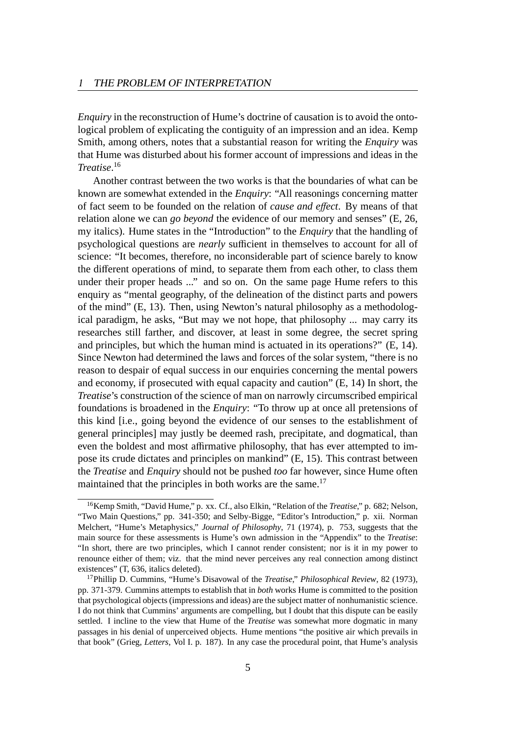*Enquiry* in the reconstruction of Hume's doctrine of causation is to avoid the ontological problem of explicating the contiguity of an impression and an idea. Kemp Smith, among others, notes that a substantial reason for writing the *Enquiry* was that Hume was disturbed about his former account of impressions and ideas in the *Treatise*. 16

Another contrast between the two works is that the boundaries of what can be known are somewhat extended in the *Enquiry*: "All reasonings concerning matter of fact seem to be founded on the relation of *cause and e*ff*ect*. By means of that relation alone we can *go beyond* the evidence of our memory and senses" (E, 26, my italics). Hume states in the "Introduction" to the *Enquiry* that the handling of psychological questions are *nearly* sufficient in themselves to account for all of science: "It becomes, therefore, no inconsiderable part of science barely to know the different operations of mind, to separate them from each other, to class them under their proper heads ..." and so on. On the same page Hume refers to this enquiry as "mental geography, of the delineation of the distinct parts and powers of the mind" (E, 13). Then, using Newton's natural philosophy as a methodological paradigm, he asks, "But may we not hope, that philosophy ... may carry its researches still farther, and discover, at least in some degree, the secret spring and principles, but which the human mind is actuated in its operations?" (E, 14). Since Newton had determined the laws and forces of the solar system, "there is no reason to despair of equal success in our enquiries concerning the mental powers and economy, if prosecuted with equal capacity and caution" (E, 14) In short, the *Treatise*'s construction of the science of man on narrowly circumscribed empirical foundations is broadened in the *Enquiry*: "To throw up at once all pretensions of this kind [i.e., going beyond the evidence of our senses to the establishment of general principles] may justly be deemed rash, precipitate, and dogmatical, than even the boldest and most affirmative philosophy, that has ever attempted to impose its crude dictates and principles on mankind" (E, 15). This contrast between the *Treatise* and *Enquiry* should not be pushed *too* far however, since Hume often maintained that the principles in both works are the same.<sup>17</sup>

<sup>16</sup>Kemp Smith, "David Hume," p. xx. Cf., also Elkin, "Relation of the *Treatise*," p. 682; Nelson, "Two Main Questions," pp. 341-350; and Selby-Bigge, "Editor's Introduction," p. xii. Norman Melchert, "Hume's Metaphysics," *Journal of Philosophy*, 71 (1974), p. 753, suggests that the main source for these assessments is Hume's own admission in the "Appendix" to the *Treatise*: "In short, there are two principles, which I cannot render consistent; nor is it in my power to renounce either of them; viz. that the mind never perceives any real connection among distinct existences" (T, 636, italics deleted).

<sup>17</sup>Phillip D. Cummins, "Hume's Disavowal of the *Treatise*," *Philosophical Review*, 82 (1973), pp. 371-379. Cummins attempts to establish that in *both* works Hume is committed to the position that psychological objects (impressions and ideas) are the subject matter of nonhumanistic science. I do not think that Cummins' arguments are compelling, but I doubt that this dispute can be easily settled. I incline to the view that Hume of the *Treatise* was somewhat more dogmatic in many passages in his denial of unperceived objects. Hume mentions "the positive air which prevails in that book" (Grieg, *Letters*, Vol I. p. 187). In any case the procedural point, that Hume's analysis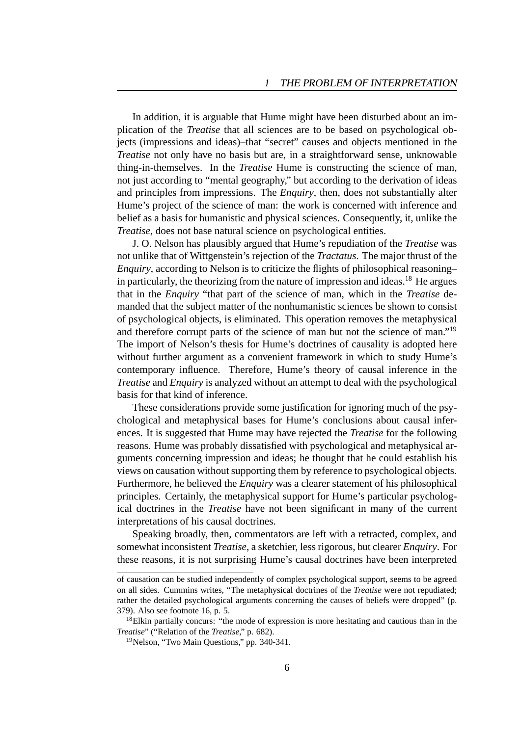In addition, it is arguable that Hume might have been disturbed about an implication of the *Treatise* that all sciences are to be based on psychological objects (impressions and ideas)–that "secret" causes and objects mentioned in the *Treatise* not only have no basis but are, in a straightforward sense, unknowable thing-in-themselves. In the *Treatise* Hume is constructing the science of man, not just according to "mental geography," but according to the derivation of ideas and principles from impressions. The *Enquiry*, then, does not substantially alter Hume's project of the science of man: the work is concerned with inference and belief as a basis for humanistic and physical sciences. Consequently, it, unlike the *Treatise*, does not base natural science on psychological entities.

J. O. Nelson has plausibly argued that Hume's repudiation of the *Treatise* was not unlike that of Wittgenstein's rejection of the *Tractatus*. The major thrust of the *Enquiry*, according to Nelson is to criticize the flights of philosophical reasoning– in particularly, the theorizing from the nature of impression and ideas.<sup>18</sup> He argues that in the *Enquiry* "that part of the science of man, which in the *Treatise* demanded that the subject matter of the nonhumanistic sciences be shown to consist of psychological objects, is eliminated. This operation removes the metaphysical and therefore corrupt parts of the science of man but not the science of man."<sup>19</sup> The import of Nelson's thesis for Hume's doctrines of causality is adopted here without further argument as a convenient framework in which to study Hume's contemporary influence. Therefore, Hume's theory of causal inference in the *Treatise* and *Enquiry* is analyzed without an attempt to deal with the psychological basis for that kind of inference.

These considerations provide some justification for ignoring much of the psychological and metaphysical bases for Hume's conclusions about causal inferences. It is suggested that Hume may have rejected the *Treatise* for the following reasons. Hume was probably dissatisfied with psychological and metaphysical arguments concerning impression and ideas; he thought that he could establish his views on causation without supporting them by reference to psychological objects. Furthermore, he believed the *Enquiry* was a clearer statement of his philosophical principles. Certainly, the metaphysical support for Hume's particular psychological doctrines in the *Treatise* have not been significant in many of the current interpretations of his causal doctrines.

Speaking broadly, then, commentators are left with a retracted, complex, and somewhat inconsistent *Treatise*, a sketchier, less rigorous, but clearer *Enquiry*. For these reasons, it is not surprising Hume's causal doctrines have been interpreted

of causation can be studied independently of complex psychological support, seems to be agreed on all sides. Cummins writes, "The metaphysical doctrines of the *Treatise* were not repudiated; rather the detailed psychological arguments concerning the causes of beliefs were dropped" (p. 379). Also see footnote 16, p. 5.

 $18$ Elkin partially concurs: "the mode of expression is more hesitating and cautious than in the *Treatise*" ("Relation of the *Treatise*," p. 682).

<sup>19</sup>Nelson, "Two Main Questions," pp. 340-341.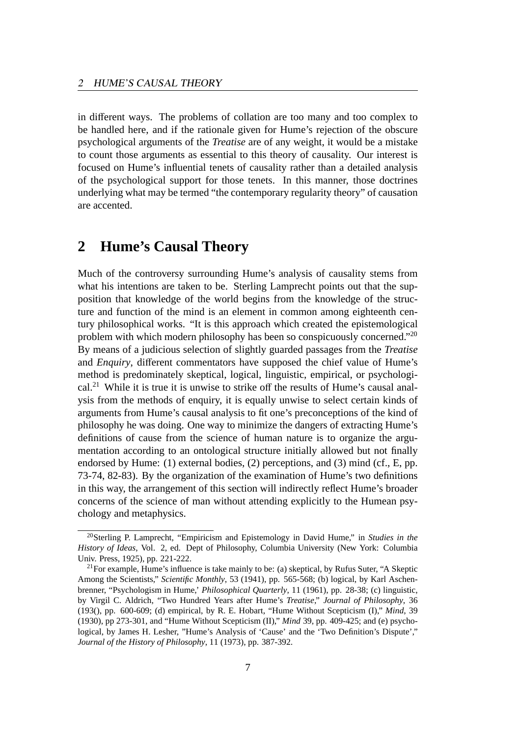in different ways. The problems of collation are too many and too complex to be handled here, and if the rationale given for Hume's rejection of the obscure psychological arguments of the *Treatise* are of any weight, it would be a mistake to count those arguments as essential to this theory of causality. Our interest is focused on Hume's influential tenets of causality rather than a detailed analysis of the psychological support for those tenets. In this manner, those doctrines underlying what may be termed "the contemporary regularity theory" of causation are accented.

### **2 Hume's Causal Theory**

Much of the controversy surrounding Hume's analysis of causality stems from what his intentions are taken to be. Sterling Lamprecht points out that the supposition that knowledge of the world begins from the knowledge of the structure and function of the mind is an element in common among eighteenth century philosophical works. "It is this approach which created the epistemological problem with which modern philosophy has been so conspicuously concerned."<sup>20</sup> By means of a judicious selection of slightly guarded passages from the *Treatise* and *Enquiry*, different commentators have supposed the chief value of Hume's method is predominately skeptical, logical, linguistic, empirical, or psychological.<sup>21</sup> While it is true it is unwise to strike off the results of Hume's causal analysis from the methods of enquiry, it is equally unwise to select certain kinds of arguments from Hume's causal analysis to fit one's preconceptions of the kind of philosophy he was doing. One way to minimize the dangers of extracting Hume's definitions of cause from the science of human nature is to organize the argumentation according to an ontological structure initially allowed but not finally endorsed by Hume: (1) external bodies, (2) perceptions, and (3) mind (cf., E, pp. 73-74, 82-83). By the organization of the examination of Hume's two definitions in this way, the arrangement of this section will indirectly reflect Hume's broader concerns of the science of man without attending explicitly to the Humean psychology and metaphysics.

<sup>20</sup>Sterling P. Lamprecht, "Empiricism and Epistemology in David Hume," in *Studies in the History of Ideas*, Vol. 2, ed. Dept of Philosophy, Columbia University (New York: Columbia Univ. Press, 1925), pp. 221-222.

<sup>&</sup>lt;sup>21</sup> For example, Hume's influence is take mainly to be: (a) skeptical, by Rufus Suter, "A Skeptic Among the Scientists," *Scientific Monthly*, 53 (1941), pp. 565-568; (b) logical, by Karl Aschenbrenner, "Psychologism in Hume,' *Philosophical Quarterly*, 11 (1961), pp. 28-38; (c) linguistic, by Virgil C. Aldrich, "Two Hundred Years after Hume's *Treatise*," *Journal of Philosophy*, 36 (193(), pp. 600-609; (d) empirical, by R. E. Hobart, "Hume Without Scepticism (I)," *Mind*, 39 (1930), pp 273-301, and "Hume Without Scepticism (II)," *Mind* 39, pp. 409-425; and (e) psychological, by James H. Lesher, "Hume's Analysis of 'Cause' and the 'Two Definition's Dispute'," *Journal of the History of Philosophy*, 11 (1973), pp. 387-392.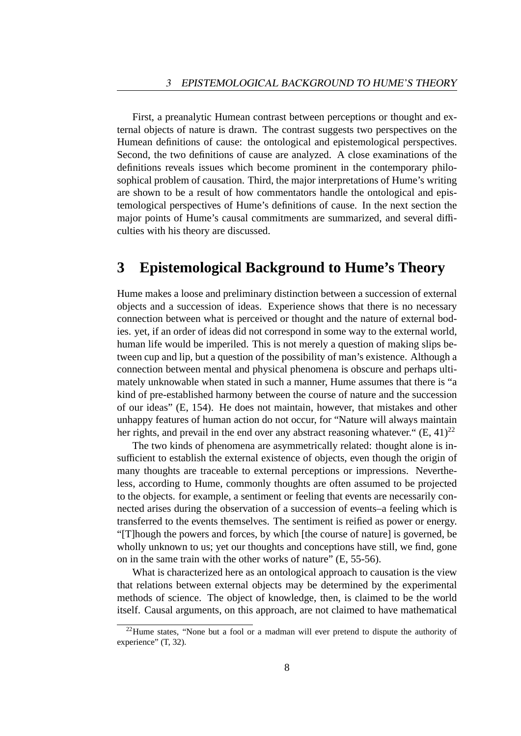First, a preanalytic Humean contrast between perceptions or thought and external objects of nature is drawn. The contrast suggests two perspectives on the Humean definitions of cause: the ontological and epistemological perspectives. Second, the two definitions of cause are analyzed. A close examinations of the definitions reveals issues which become prominent in the contemporary philosophical problem of causation. Third, the major interpretations of Hume's writing are shown to be a result of how commentators handle the ontological and epistemological perspectives of Hume's definitions of cause. In the next section the major points of Hume's causal commitments are summarized, and several difficulties with his theory are discussed.

## **3 Epistemological Background to Hume's Theory**

Hume makes a loose and preliminary distinction between a succession of external objects and a succession of ideas. Experience shows that there is no necessary connection between what is perceived or thought and the nature of external bodies. yet, if an order of ideas did not correspond in some way to the external world, human life would be imperiled. This is not merely a question of making slips between cup and lip, but a question of the possibility of man's existence. Although a connection between mental and physical phenomena is obscure and perhaps ultimately unknowable when stated in such a manner, Hume assumes that there is "a kind of pre-established harmony between the course of nature and the succession of our ideas" (E, 154). He does not maintain, however, that mistakes and other unhappy features of human action do not occur, for "Nature will always maintain her rights, and prevail in the end over any abstract reasoning whatever."  $(E, 41)^{22}$ 

The two kinds of phenomena are asymmetrically related: thought alone is insufficient to establish the external existence of objects, even though the origin of many thoughts are traceable to external perceptions or impressions. Nevertheless, according to Hume, commonly thoughts are often assumed to be projected to the objects. for example, a sentiment or feeling that events are necessarily connected arises during the observation of a succession of events–a feeling which is transferred to the events themselves. The sentiment is reified as power or energy. "[T]hough the powers and forces, by which [the course of nature] is governed, be wholly unknown to us; yet our thoughts and conceptions have still, we find, gone on in the same train with the other works of nature" (E, 55-56).

What is characterized here as an ontological approach to causation is the view that relations between external objects may be determined by the experimental methods of science. The object of knowledge, then, is claimed to be the world itself. Causal arguments, on this approach, are not claimed to have mathematical

 $22$ Hume states, "None but a fool or a madman will ever pretend to dispute the authority of experience" (T, 32).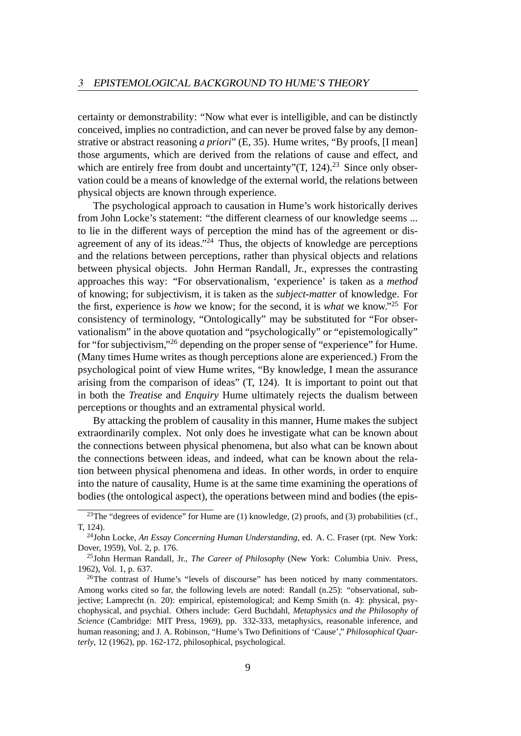certainty or demonstrability: "Now what ever is intelligible, and can be distinctly conceived, implies no contradiction, and can never be proved false by any demonstrative or abstract reasoning *a priori*" (E, 35). Hume writes, "By proofs, [I mean] those arguments, which are derived from the relations of cause and effect, and which are entirely free from doubt and uncertainty" $(T, 124)$ .<sup>23</sup> Since only observation could be a means of knowledge of the external world, the relations between physical objects are known through experience.

The psychological approach to causation in Hume's work historically derives from John Locke's statement: "the different clearness of our knowledge seems ... to lie in the different ways of perception the mind has of the agreement or disagreement of any of its ideas."<sup>24</sup> Thus, the objects of knowledge are perceptions and the relations between perceptions, rather than physical objects and relations between physical objects. John Herman Randall, Jr., expresses the contrasting approaches this way: "For observationalism, 'experience' is taken as a *method* of knowing; for subjectivism, it is taken as the *subject-matter* of knowledge. For the first, experience is *how* we know; for the second, it is *what* we know."<sup>25</sup> For consistency of terminology, "Ontologically" may be substituted for "For observationalism" in the above quotation and "psychologically" or "epistemologically" for "for subjectivism,"<sup>26</sup> depending on the proper sense of "experience" for Hume. (Many times Hume writes as though perceptions alone are experienced.) From the psychological point of view Hume writes, "By knowledge, I mean the assurance arising from the comparison of ideas" (T, 124). It is important to point out that in both the *Treatise* and *Enquiry* Hume ultimately rejects the dualism between perceptions or thoughts and an extramental physical world.

By attacking the problem of causality in this manner, Hume makes the subject extraordinarily complex. Not only does he investigate what can be known about the connections between physical phenomena, but also what can be known about the connections between ideas, and indeed, what can be known about the relation between physical phenomena and ideas. In other words, in order to enquire into the nature of causality, Hume is at the same time examining the operations of bodies (the ontological aspect), the operations between mind and bodies (the epis-

<sup>&</sup>lt;sup>23</sup>The "degrees of evidence" for Hume are (1) knowledge, (2) proofs, and (3) probabilities (cf., T, 124).

<sup>24</sup>John Locke, *An Essay Concerning Human Understanding*, ed. A. C. Fraser (rpt. New York: Dover, 1959), Vol. 2, p. 176.

<sup>25</sup>John Herman Randall, Jr., *The Career of Philosophy* (New York: Columbia Univ. Press, 1962), Vol. 1, p. 637.

<sup>&</sup>lt;sup>26</sup>The contrast of Hume's "levels of discourse" has been noticed by many commentators. Among works cited so far, the following levels are noted: Randall (n.25): "observational, subjective; Lamprecht (n. 20): empirical, epistemological; and Kemp Smith (n. 4): physical, psychophysical, and psychial. Others include: Gerd Buchdahl, *Metaphysics and the Philosophy of Science* (Cambridge: MIT Press, 1969), pp. 332-333, metaphysics, reasonable inference, and human reasoning; and J. A. Robinson, "Hume's Two Definitions of 'Cause'," *Philosophical Quarterly*, 12 (1962), pp. 162-172, philosophical, psychological.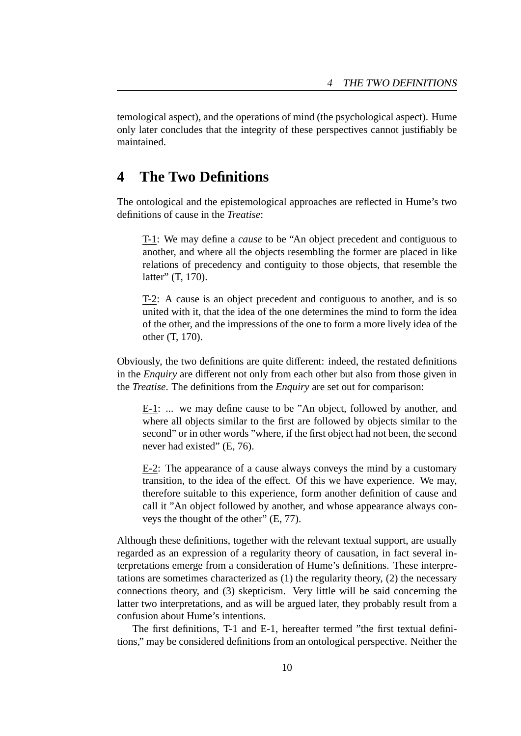temological aspect), and the operations of mind (the psychological aspect). Hume only later concludes that the integrity of these perspectives cannot justifiably be maintained.

### **4 The Two Definitions**

The ontological and the epistemological approaches are reflected in Hume's two definitions of cause in the *Treatise*:

T-1: We may define a *cause* to be "An object precedent and contiguous to another, and where all the objects resembling the former are placed in like relations of precedency and contiguity to those objects, that resemble the latter" (T, 170).

T-2: A cause is an object precedent and contiguous to another, and is so united with it, that the idea of the one determines the mind to form the idea of the other, and the impressions of the one to form a more lively idea of the other (T, 170).

Obviously, the two definitions are quite different: indeed, the restated definitions in the *Enquiry* are different not only from each other but also from those given in the *Treatise*. The definitions from the *Enquiry* are set out for comparison:

E-1: ... we may define cause to be "An object, followed by another, and where all objects similar to the first are followed by objects similar to the second" or in other words "where, if the first object had not been, the second never had existed" (E, 76).

E-2: The appearance of a cause always conveys the mind by a customary transition, to the idea of the effect. Of this we have experience. We may, therefore suitable to this experience, form another definition of cause and call it "An object followed by another, and whose appearance always conveys the thought of the other" (E, 77).

Although these definitions, together with the relevant textual support, are usually regarded as an expression of a regularity theory of causation, in fact several interpretations emerge from a consideration of Hume's definitions. These interpretations are sometimes characterized as (1) the regularity theory, (2) the necessary connections theory, and (3) skepticism. Very little will be said concerning the latter two interpretations, and as will be argued later, they probably result from a confusion about Hume's intentions.

The first definitions, T-1 and E-1, hereafter termed "the first textual definitions," may be considered definitions from an ontological perspective. Neither the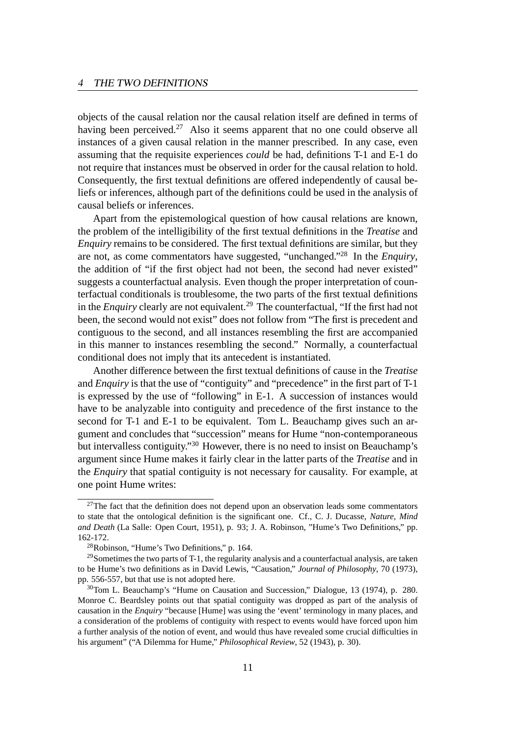objects of the causal relation nor the causal relation itself are defined in terms of having been perceived.<sup>27</sup> Also it seems apparent that no one could observe all instances of a given causal relation in the manner prescribed. In any case, even assuming that the requisite experiences *could* be had, definitions T-1 and E-1 do not require that instances must be observed in order for the causal relation to hold. Consequently, the first textual definitions are offered independently of causal beliefs or inferences, although part of the definitions could be used in the analysis of causal beliefs or inferences.

Apart from the epistemological question of how causal relations are known, the problem of the intelligibility of the first textual definitions in the *Treatise* and *Enquiry* remains to be considered. The first textual definitions are similar, but they are not, as come commentators have suggested, "unchanged."<sup>28</sup> In the *Enquiry*, the addition of "if the first object had not been, the second had never existed" suggests a counterfactual analysis. Even though the proper interpretation of counterfactual conditionals is troublesome, the two parts of the first textual definitions in the *Enquiry* clearly are not equivalent.<sup>29</sup> The counterfactual, "If the first had not been, the second would not exist" does not follow from "The first is precedent and contiguous to the second, and all instances resembling the first are accompanied in this manner to instances resembling the second." Normally, a counterfactual conditional does not imply that its antecedent is instantiated.

Another difference between the first textual definitions of cause in the *Treatise* and *Enquiry* is that the use of "contiguity" and "precedence" in the first part of T-1 is expressed by the use of "following" in E-1. A succession of instances would have to be analyzable into contiguity and precedence of the first instance to the second for T-1 and E-1 to be equivalent. Tom L. Beauchamp gives such an argument and concludes that "succession" means for Hume "non-contemporaneous but intervalless contiguity."<sup>30</sup> However, there is no need to insist on Beauchamp's argument since Hume makes it fairly clear in the latter parts of the *Treatise* and in the *Enquiry* that spatial contiguity is not necessary for causality. For example, at one point Hume writes:

 $27$ The fact that the definition does not depend upon an observation leads some commentators to state that the ontological definition is the significant one. Cf., C. J. Ducasse, *Nature, Mind and Death* (La Salle: Open Court, 1951), p. 93; J. A. Robinson, "Hume's Two Definitions," pp. 162-172.

<sup>28</sup>Robinson, "Hume's Two Definitions," p. 164.

<sup>&</sup>lt;sup>29</sup>Sometimes the two parts of T-1, the regularity analysis and a counterfactual analysis, are taken to be Hume's two definitions as in David Lewis, "Causation," *Journal of Philosophy*, 70 (1973), pp. 556-557, but that use is not adopted here.

 $30$ Tom L. Beauchamp's "Hume on Causation and Succession," Dialogue, 13 (1974), p. 280. Monroe C. Beardsley points out that spatial contiguity was dropped as part of the analysis of causation in the *Enquiry* "because [Hume] was using the 'event' terminology in many places, and a consideration of the problems of contiguity with respect to events would have forced upon him a further analysis of the notion of event, and would thus have revealed some crucial difficulties in his argument" ("A Dilemma for Hume," *Philosophical Review*, 52 (1943), p. 30).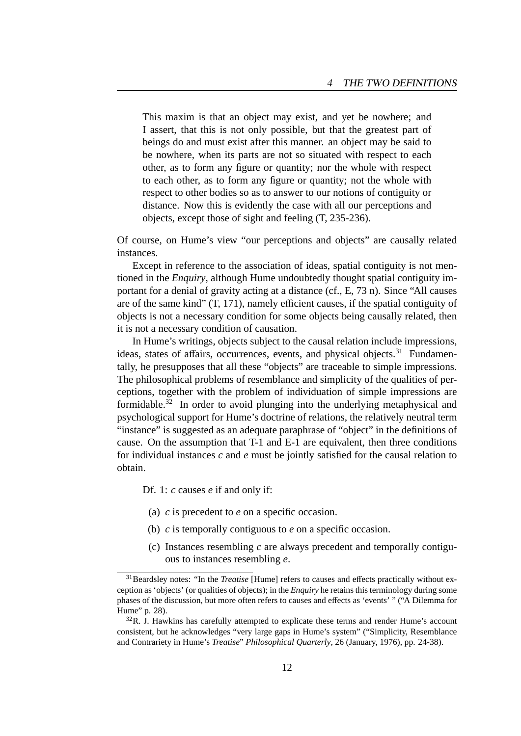This maxim is that an object may exist, and yet be nowhere; and I assert, that this is not only possible, but that the greatest part of beings do and must exist after this manner. an object may be said to be nowhere, when its parts are not so situated with respect to each other, as to form any figure or quantity; nor the whole with respect to each other, as to form any figure or quantity; not the whole with respect to other bodies so as to answer to our notions of contiguity or distance. Now this is evidently the case with all our perceptions and objects, except those of sight and feeling (T, 235-236).

Of course, on Hume's view "our perceptions and objects" are causally related instances.

Except in reference to the association of ideas, spatial contiguity is not mentioned in the *Enquiry*, although Hume undoubtedly thought spatial contiguity important for a denial of gravity acting at a distance (cf., E, 73 n). Since "All causes are of the same kind" (T, 171), namely efficient causes, if the spatial contiguity of objects is not a necessary condition for some objects being causally related, then it is not a necessary condition of causation.

In Hume's writings, objects subject to the causal relation include impressions, ideas, states of affairs, occurrences, events, and physical objects.<sup>31</sup> Fundamentally, he presupposes that all these "objects" are traceable to simple impressions. The philosophical problems of resemblance and simplicity of the qualities of perceptions, together with the problem of individuation of simple impressions are formidable.<sup>32</sup> In order to avoid plunging into the underlying metaphysical and psychological support for Hume's doctrine of relations, the relatively neutral term "instance" is suggested as an adequate paraphrase of "object" in the definitions of cause. On the assumption that T-1 and E-1 are equivalent, then three conditions for individual instances *c* and *e* must be jointly satisfied for the causal relation to obtain.

Df. 1: *c* causes *e* if and only if:

- (a) *c* is precedent to *e* on a specific occasion.
- (b) *c* is temporally contiguous to *e* on a specific occasion.
- (c) Instances resembling *c* are always precedent and temporally contiguous to instances resembling *e*.

<sup>31</sup>Beardsley notes: "In the *Treatise* [Hume] refers to causes and effects practically without exception as 'objects' (or qualities of objects); in the *Enquiry* he retains this terminology during some phases of the discussion, but more often refers to causes and effects as 'events' " ("A Dilemma for Hume" p. 28).

 $32R$ . J. Hawkins has carefully attempted to explicate these terms and render Hume's account consistent, but he acknowledges "very large gaps in Hume's system" ("Simplicity, Resemblance and Contrariety in Hume's *Treatise*" *Philosophical Quarterly*, 26 (January, 1976), pp. 24-38).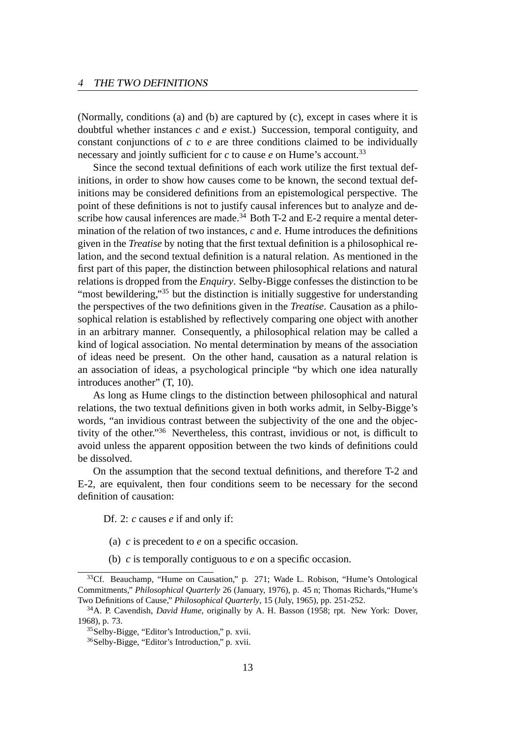(Normally, conditions (a) and (b) are captured by (c), except in cases where it is doubtful whether instances *c* and *e* exist.) Succession, temporal contiguity, and constant conjunctions of *c* to *e* are three conditions claimed to be individually necessary and jointly sufficient for  $c$  to cause  $e$  on Hume's account.<sup>33</sup>

Since the second textual definitions of each work utilize the first textual definitions, in order to show how causes come to be known, the second textual definitions may be considered definitions from an epistemological perspective. The point of these definitions is not to justify causal inferences but to analyze and describe how causal inferences are made.<sup>34</sup> Both T-2 and E-2 require a mental determination of the relation of two instances, *c* and *e*. Hume introduces the definitions given in the *Treatise* by noting that the first textual definition is a philosophical relation, and the second textual definition is a natural relation. As mentioned in the first part of this paper, the distinction between philosophical relations and natural relations is dropped from the *Enquiry*. Selby-Bigge confesses the distinction to be "most bewildering,"<sup>35</sup> but the distinction is initially suggestive for understanding the perspectives of the two definitions given in the *Treatise*. Causation as a philosophical relation is established by reflectively comparing one object with another in an arbitrary manner. Consequently, a philosophical relation may be called a kind of logical association. No mental determination by means of the association of ideas need be present. On the other hand, causation as a natural relation is an association of ideas, a psychological principle "by which one idea naturally introduces another" (T, 10).

As long as Hume clings to the distinction between philosophical and natural relations, the two textual definitions given in both works admit, in Selby-Bigge's words, "an invidious contrast between the subjectivity of the one and the objectivity of the other."<sup>36</sup> Nevertheless, this contrast, invidious or not, is difficult to avoid unless the apparent opposition between the two kinds of definitions could be dissolved.

On the assumption that the second textual definitions, and therefore T-2 and E-2, are equivalent, then four conditions seem to be necessary for the second definition of causation:

Df. 2: *c* causes *e* if and only if:

- (a) *c* is precedent to *e* on a specific occasion.
- (b) *c* is temporally contiguous to *e* on a specific occasion.

<sup>&</sup>lt;sup>33</sup>Cf. Beauchamp, "Hume on Causation," p. 271; Wade L. Robison, "Hume's Ontological Commitments," *Philosophical Quarterly* 26 (January, 1976), p. 45 n; Thomas Richards,"Hume's Two Definitions of Cause," *Philosophical Quarterly*, 15 (July, 1965), pp. 251-252.

<sup>34</sup>A. P. Cavendish, *David Hume*, originally by A. H. Basson (1958; rpt. New York: Dover, 1968), p. 73.

<sup>35</sup>Selby-Bigge, "Editor's Introduction," p. xvii.

<sup>36</sup>Selby-Bigge, "Editor's Introduction," p. xvii.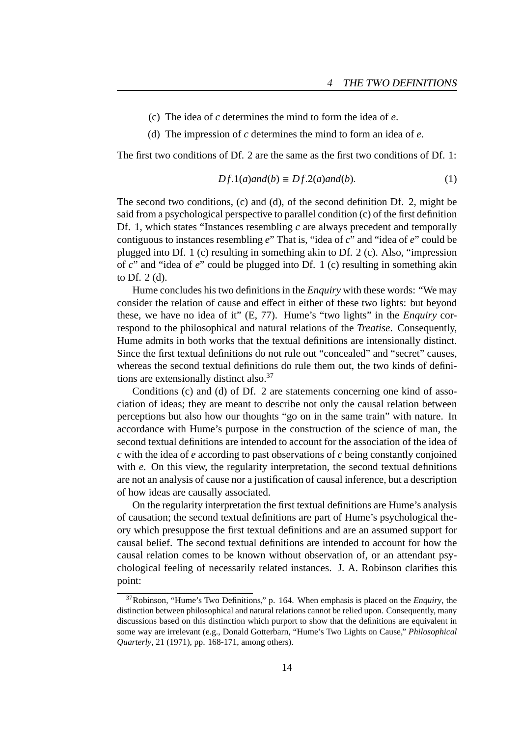- (c) The idea of *c* determines the mind to form the idea of *e*.
- (d) The impression of *c* determines the mind to form an idea of *e*.

The first two conditions of Df. 2 are the same as the first two conditions of Df. 1:

$$
Df.1(a) and (b) \equiv Df.2(a) and (b).
$$
 (1)

The second two conditions, (c) and (d), of the second definition Df. 2, might be said from a psychological perspective to parallel condition (c) of the first definition Df. 1, which states "Instances resembling *c* are always precedent and temporally contiguous to instances resembling *e*" That is, "idea of *c*" and "idea of *e*" could be plugged into Df. 1 (c) resulting in something akin to Df. 2 (c). Also, "impression of *c*" and "idea of *e*" could be plugged into Df. 1 (c) resulting in something akin to Df. 2 (d).

Hume concludes his two definitions in the *Enquiry* with these words: "We may consider the relation of cause and effect in either of these two lights: but beyond these, we have no idea of it" (E, 77). Hume's "two lights" in the *Enquiry* correspond to the philosophical and natural relations of the *Treatise*. Consequently, Hume admits in both works that the textual definitions are intensionally distinct. Since the first textual definitions do not rule out "concealed" and "secret" causes, whereas the second textual definitions do rule them out, the two kinds of definitions are extensionally distinct also.<sup>37</sup>

Conditions (c) and (d) of Df. 2 are statements concerning one kind of association of ideas; they are meant to describe not only the causal relation between perceptions but also how our thoughts "go on in the same train" with nature. In accordance with Hume's purpose in the construction of the science of man, the second textual definitions are intended to account for the association of the idea of *c* with the idea of *e* according to past observations of *c* being constantly conjoined with *e*. On this view, the regularity interpretation, the second textual definitions are not an analysis of cause nor a justification of causal inference, but a description of how ideas are causally associated.

On the regularity interpretation the first textual definitions are Hume's analysis of causation; the second textual definitions are part of Hume's psychological theory which presuppose the first textual definitions and are an assumed support for causal belief. The second textual definitions are intended to account for how the causal relation comes to be known without observation of, or an attendant psychological feeling of necessarily related instances. J. A. Robinson clarifies this point:

<sup>37</sup>Robinson, "Hume's Two Definitions," p. 164. When emphasis is placed on the *Enquiry*, the distinction between philosophical and natural relations cannot be relied upon. Consequently, many discussions based on this distinction which purport to show that the definitions are equivalent in some way are irrelevant (e.g., Donald Gotterbarn, "Hume's Two Lights on Cause," *Philosophical Quarterly*, 21 (1971), pp. 168-171, among others).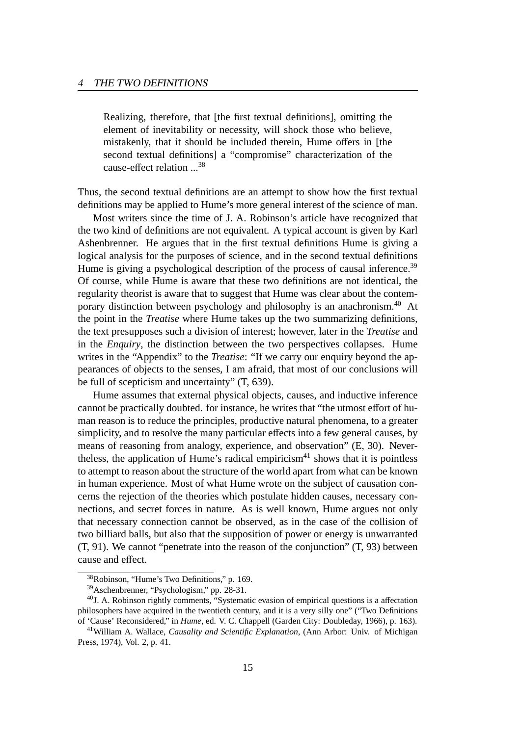Realizing, therefore, that [the first textual definitions], omitting the element of inevitability or necessity, will shock those who believe, mistakenly, that it should be included therein, Hume offers in [the second textual definitions] a "compromise" characterization of the cause-effect relation ...<sup>38</sup>

Thus, the second textual definitions are an attempt to show how the first textual definitions may be applied to Hume's more general interest of the science of man.

Most writers since the time of J. A. Robinson's article have recognized that the two kind of definitions are not equivalent. A typical account is given by Karl Ashenbrenner. He argues that in the first textual definitions Hume is giving a logical analysis for the purposes of science, and in the second textual definitions Hume is giving a psychological description of the process of causal inference.<sup>39</sup> Of course, while Hume is aware that these two definitions are not identical, the regularity theorist is aware that to suggest that Hume was clear about the contemporary distinction between psychology and philosophy is an anachronism.<sup>40</sup> At the point in the *Treatise* where Hume takes up the two summarizing definitions, the text presupposes such a division of interest; however, later in the *Treatise* and in the *Enquiry*, the distinction between the two perspectives collapses. Hume writes in the "Appendix" to the *Treatise*: "If we carry our enquiry beyond the appearances of objects to the senses, I am afraid, that most of our conclusions will be full of scepticism and uncertainty" (T, 639).

Hume assumes that external physical objects, causes, and inductive inference cannot be practically doubted. for instance, he writes that "the utmost effort of human reason is to reduce the principles, productive natural phenomena, to a greater simplicity, and to resolve the many particular effects into a few general causes, by means of reasoning from analogy, experience, and observation" (E, 30). Nevertheless, the application of Hume's radical empiricism $41$  shows that it is pointless to attempt to reason about the structure of the world apart from what can be known in human experience. Most of what Hume wrote on the subject of causation concerns the rejection of the theories which postulate hidden causes, necessary connections, and secret forces in nature. As is well known, Hume argues not only that necessary connection cannot be observed, as in the case of the collision of two billiard balls, but also that the supposition of power or energy is unwarranted (T, 91). We cannot "penetrate into the reason of the conjunction" (T, 93) between cause and effect.

<sup>38</sup>Robinson, "Hume's Two Definitions," p. 169.

<sup>39</sup>Aschenbrenner, "Psychologism," pp. 28-31.

 $40$ J. A. Robinson rightly comments, "Systematic evasion of empirical questions is a affectation philosophers have acquired in the twentieth century, and it is a very silly one" ("Two Definitions of 'Cause' Reconsidered," in *Hume*, ed. V. C. Chappell (Garden City: Doubleday, 1966), p. 163).

<sup>41</sup>William A. Wallace, *Causality and Scientific Explanation*, (Ann Arbor: Univ. of Michigan Press, 1974), Vol. 2, p. 41.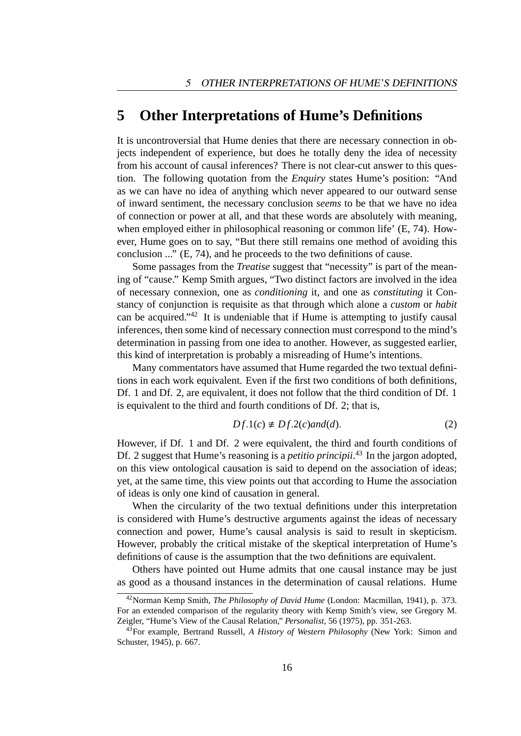#### **5 Other Interpretations of Hume's Definitions**

It is uncontroversial that Hume denies that there are necessary connection in objects independent of experience, but does he totally deny the idea of necessity from his account of causal inferences? There is not clear-cut answer to this question. The following quotation from the *Enquiry* states Hume's position: "And as we can have no idea of anything which never appeared to our outward sense of inward sentiment, the necessary conclusion *seems* to be that we have no idea of connection or power at all, and that these words are absolutely with meaning, when employed either in philosophical reasoning or common life' (E, 74). However, Hume goes on to say, "But there still remains one method of avoiding this conclusion ..." (E, 74), and he proceeds to the two definitions of cause.

Some passages from the *Treatise* suggest that "necessity" is part of the meaning of "cause." Kemp Smith argues, "Two distinct factors are involved in the idea of necessary connexion, one as *conditioning* it, and one as *constituting* it Constancy of conjunction is requisite as that through which alone a *custom* or *habit* can be acquired." $42$  It is undeniable that if Hume is attempting to justify causal inferences, then some kind of necessary connection must correspond to the mind's determination in passing from one idea to another. However, as suggested earlier, this kind of interpretation is probably a misreading of Hume's intentions.

Many commentators have assumed that Hume regarded the two textual definitions in each work equivalent. Even if the first two conditions of both definitions, Df. 1 and Df. 2, are equivalent, it does not follow that the third condition of Df. 1 is equivalent to the third and fourth conditions of Df. 2; that is,

$$
Df.1(c) \neq Df.2(c) \text{and}(d). \tag{2}
$$

However, if Df. 1 and Df. 2 were equivalent, the third and fourth conditions of Df. 2 suggest that Hume's reasoning is a *petitio principii*.<sup>43</sup> In the jargon adopted, on this view ontological causation is said to depend on the association of ideas; yet, at the same time, this view points out that according to Hume the association of ideas is only one kind of causation in general.

When the circularity of the two textual definitions under this interpretation is considered with Hume's destructive arguments against the ideas of necessary connection and power, Hume's causal analysis is said to result in skepticism. However, probably the critical mistake of the skeptical interpretation of Hume's definitions of cause is the assumption that the two definitions are equivalent.

Others have pointed out Hume admits that one causal instance may be just as good as a thousand instances in the determination of causal relations. Hume

<sup>42</sup>Norman Kemp Smith, *The Philosophy of David Hume* (London: Macmillan, 1941), p. 373. For an extended comparison of the regularity theory with Kemp Smith's view, see Gregory M. Zeigler, "Hume's View of the Causal Relation," *Personalist*, 56 (1975), pp. 351-263.

<sup>43</sup>For example, Bertrand Russell, *A History of Western Philosophy* (New York: Simon and Schuster, 1945), p. 667.